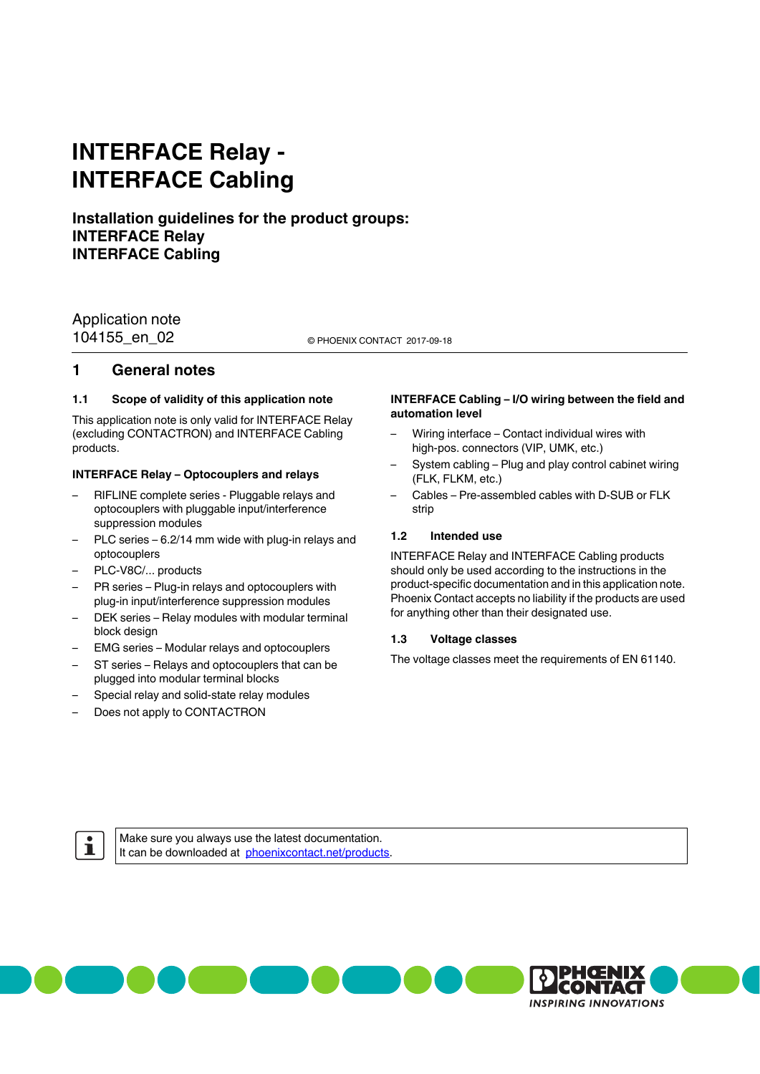## **INTERFACE Relay - INTERFACE Cabling**

## **Installation guidelines for the product groups: INTERFACE Relay INTERFACE Cabling**

## 104155\_en\_02 © PHOENIX CONTACT 2017-09-18 Application note

## **1 General notes**

#### **1.1 Scope of validity of this application note**

This application note is only valid for INTERFACE Relay (excluding CONTACTRON) and INTERFACE Cabling products.

## **INTERFACE Relay – Optocouplers and relays**

- RIFLINE complete series Pluggable relays and optocouplers with pluggable input/interference suppression modules
- PLC series 6.2/14 mm wide with plug-in relays and optocouplers
- PLC-V8C/... products
- PR series Plug-in relays and optocouplers with plug-in input/interference suppression modules
- DEK series Relay modules with modular terminal block design
- EMG series Modular relays and optocouplers
- ST series Relays and optocouplers that can be plugged into modular terminal blocks
- Special relay and solid-state relay modules
- Does not apply to CONTACTRON

## **INTERFACE Cabling – I/O wiring between the field and automation level**

- Wiring interface Contact individual wires with high-pos. connectors (VIP, UMK, etc.)
- System cabling Plug and play control cabinet wiring (FLK, FLKM, etc.)
- Cables Pre-assembled cables with D-SUB or FLK strip

#### **1.2 Intended use**

INTERFACE Relay and INTERFACE Cabling products should only be used according to the instructions in the product-specific documentation and in this application note. Phoenix Contact accepts no liability if the products are used for anything other than their designated use.

#### **1.3 Voltage classes**

The voltage classes meet the requirements of EN 61140.



Make sure you always use the latest documentation. It can be downloaded at [phoenixcontact.net/products](http://phoenixcontact.net/products).

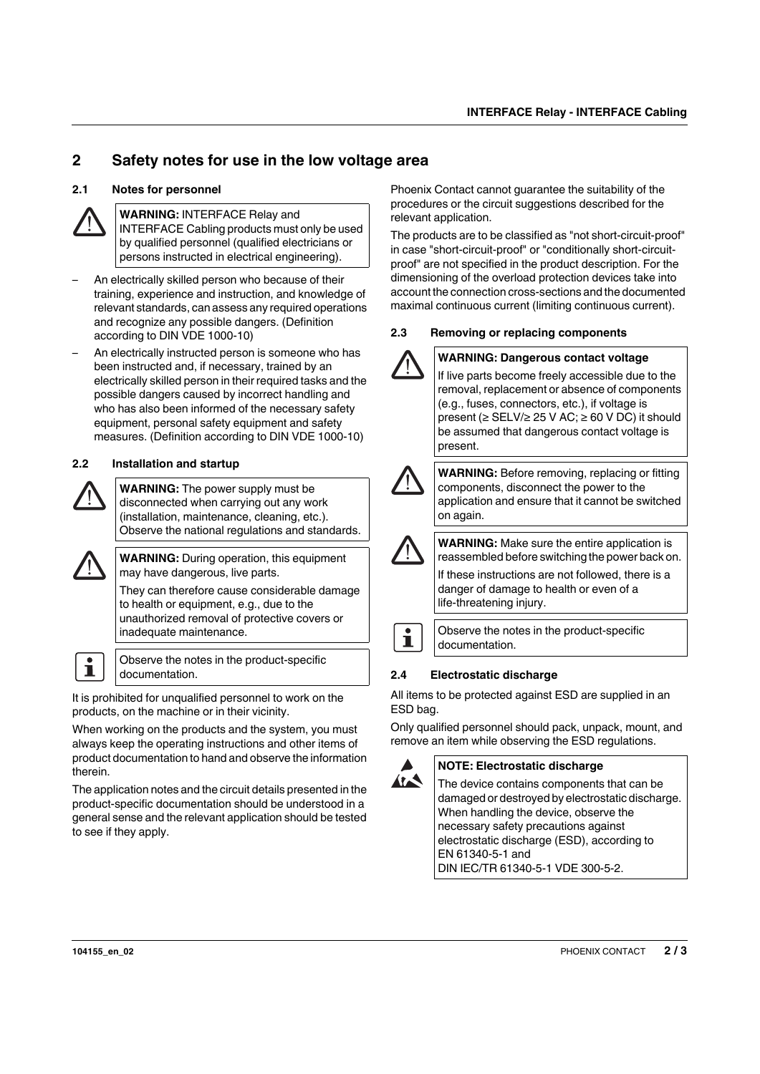## **2 Safety notes for use in the low voltage area**

## **2.1 Notes for personnel**



**WARNING:** INTERFACE Relay and INTERFACE Cabling products must only be used

by qualified personnel (qualified electricians or persons instructed in electrical engineering).

- An electrically skilled person who because of their training, experience and instruction, and knowledge of relevant standards, can assess any required operations and recognize any possible dangers. (Definition according to DIN VDE 1000-10)
- An electrically instructed person is someone who has been instructed and, if necessary, trained by an electrically skilled person in their required tasks and the possible dangers caused by incorrect handling and who has also been informed of the necessary safety equipment, personal safety equipment and safety measures. (Definition according to DIN VDE 1000-10)

## **2.2 Installation and startup**



**WARNING:** The power supply must be disconnected when carrying out any work (installation, maintenance, cleaning, etc.). Observe the national regulations and standards.



**WARNING:** During operation, this equipment may have dangerous, live parts.

They can therefore cause considerable damage to health or equipment, e.g., due to the unauthorized removal of protective covers or inadequate maintenance.



Observe the notes in the product-specific documentation.

It is prohibited for unqualified personnel to work on the products, on the machine or in their vicinity.

When working on the products and the system, you must always keep the operating instructions and other items of product documentation to hand and observe the information therein.

The application notes and the circuit details presented in the product-specific documentation should be understood in a general sense and the relevant application should be tested to see if they apply.

Phoenix Contact cannot guarantee the suitability of the procedures or the circuit suggestions described for the relevant application.

The products are to be classified as "not short-circuit-proof" in case "short-circuit-proof" or "conditionally short-circuitproof" are not specified in the product description. For the dimensioning of the overload protection devices take into account the connection cross-sections and the documented maximal continuous current (limiting continuous current).

## **2.3 Removing or replacing components**



## **WARNING: Dangerous contact voltage**

If live parts become freely accessible due to the removal, replacement or absence of components (e.g., fuses, connectors, etc.), if voltage is present (≥ SELV/≥ 25 V AC; ≥ 60 V DC) it should be assumed that dangerous contact voltage is present.



**WARNING:** Before removing, replacing or fitting components, disconnect the power to the application and ensure that it cannot be switched on again.

**WARNING:** Make sure the entire application is reassembled before switching the power back on.

If these instructions are not followed, there is a danger of damage to health or even of a life-threatening injury.

 $\mathbf{i}$ 

Observe the notes in the product-specific documentation.

## **2.4 Electrostatic discharge**

All items to be protected against ESD are supplied in an ESD bag.

Only qualified personnel should pack, unpack, mount, and remove an item while observing the ESD regulations.



## **NOTE: Electrostatic discharge**

The device contains components that can be damaged or destroyed by electrostatic discharge. When handling the device, observe the necessary safety precautions against electrostatic discharge (ESD), according to EN 61340-5-1 and DIN IEC/TR 61340-5-1 VDE 300-5-2.